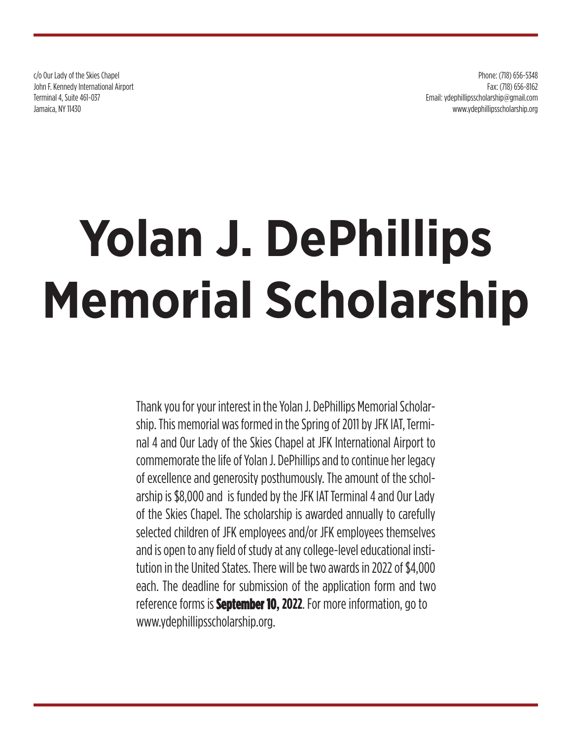c/o Our Lady of the Skies Chapel John F. Kennedy International Airport Terminal 4, Suite 461-037 Jamaica, NY 11430

Phone: (718) 656-5348 Fax: (718) 656-8162 Email: ydephillipsscholarship@gmail.com www.ydephillipsscholarship.org

# **Yolan J. DePhillips Memorial Scholarship**

Thank you for your interest in the Yolan J. DePhillips Memorial Scholarship. This memorial was formed in the Spring of 2011 by JFK IAT, Terminal 4 and Our Lady of the Skies Chapel at JFK International Airport to commemorate the life of Yolan J. DePhillips and to continue her legacy of excellence and generosity posthumously. The amount of the scholarship is \$8,000 and is funded by the JFK IAT Terminal 4 and Our Lady of the Skies Chapel. The scholarship is awarded annually to carefully selected children of JFK employees and/or JFK employees themselves and is open to any field of study at any college-level educational institution in the United States. There will be two awards in 2022 of \$4,000 each. The deadline for submission of the application form and two reference forms is **September 10, 2022**. For more information, go to www.ydephillipsscholarship.org.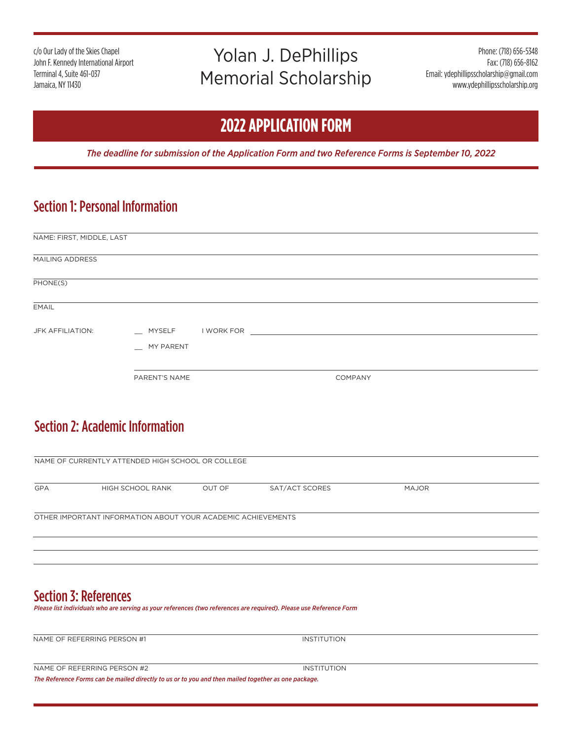c/o Our Lady of the Skies Chapel John F. Kennedy International Airport Terminal 4, Suite 461-037 Jamaica, NY 11430

# Yolan J. DePhillips Memorial Scholarship

Phone: (718) 656-5348 Fax: (718) 656-8162 Email: ydephillipsscholarship@gmail.com www.ydephillipsscholarship.org

## **2022 APPLICATION FORM**

*The deadline for submission of the Application Form and two Reference Forms is September 10, 2022*

### Section 1: Personal Information

| NAME: FIRST, MIDDLE, LAST |               |                                                                                                               |  |
|---------------------------|---------------|---------------------------------------------------------------------------------------------------------------|--|
| MAILING ADDRESS           |               |                                                                                                               |  |
| PHONE(S)                  |               |                                                                                                               |  |
| <b>EMAIL</b>              |               |                                                                                                               |  |
| JFK AFFILIATION:          | __ MYSELF     | I WORK FOR THE RESIDENCE OF THE RESIDENCE OF THE RESIDENCE OF THE RESIDENCE OF THE RESIDENCE OF THE RESIDENCE |  |
|                           | _ MY PARENT   |                                                                                                               |  |
|                           | PARENT'S NAME | COMPANY                                                                                                       |  |
|                           |               |                                                                                                               |  |

#### Section 2: Academic Information

| NAME OF CURRENTLY ATTENDED HIGH SCHOOL OR COLLEGE            |                  |        |                |              |  |  |
|--------------------------------------------------------------|------------------|--------|----------------|--------------|--|--|
| <b>GPA</b>                                                   | HIGH SCHOOL RANK | OUT OF | SAT/ACT SCORES | <b>MAJOR</b> |  |  |
| OTHER IMPORTANT INFORMATION ABOUT YOUR ACADEMIC ACHIEVEMENTS |                  |        |                |              |  |  |
|                                                              |                  |        |                |              |  |  |
|                                                              |                  |        |                |              |  |  |

#### Section 3: References

*Please list individuals who are serving as your references (two references are required). Please use Reference Form*

NAME OF REFERRING PERSON #1 INSTITUTION

INSTITUTION

*The Reference Forms can be mailed directly to us or to you and then mailed together as one package.*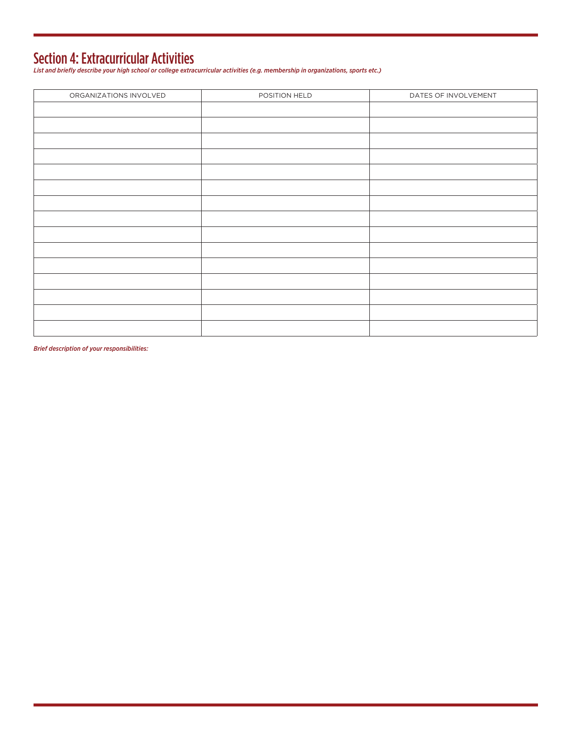Section 4: Extracurricular Activities *List and briefly describe your high school or college extracurricular activities (e.g. membership in organizations, sports etc.)*

| ORGANIZATIONS INVOLVED | POSITION HELD | DATES OF INVOLVEMENT |
|------------------------|---------------|----------------------|
|                        |               |                      |
|                        |               |                      |
|                        |               |                      |
|                        |               |                      |
|                        |               |                      |
|                        |               |                      |
|                        |               |                      |
|                        |               |                      |
|                        |               |                      |
|                        |               |                      |
|                        |               |                      |
|                        |               |                      |
|                        |               |                      |
|                        |               |                      |
|                        |               |                      |
|                        |               |                      |

*Brief description of your responsibilities:*